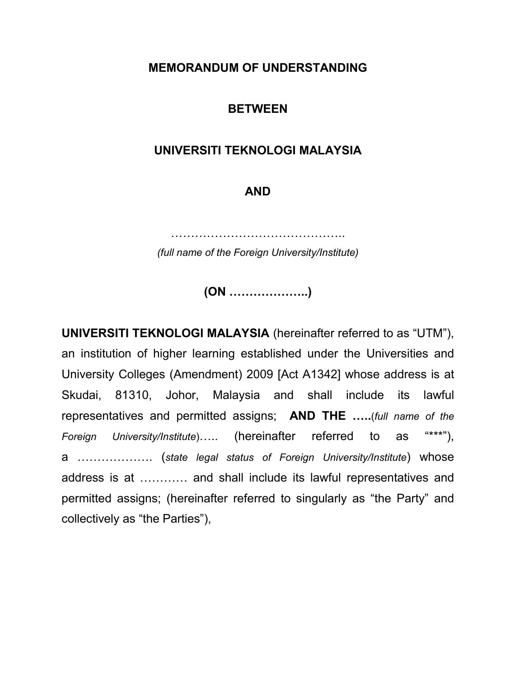#### **MEMORANDUM OF UNDERSTANDING**

#### **BETWEEN**

#### **UNIVERSITI TEKNOLOGI MALAYSIA**

### **AND**

……………………………………..

*(full name of the Foreign University/Institute)*

**(ON ………………..)**

**UNIVERSITI TEKNOLOGI MALAYSIA** (hereinafter referred to as "UTM"), an institution of higher learning established under the Universities and University Colleges (Amendment) 2009 [Act A1342] whose address is at Skudai, 81310, Johor, Malaysia and shall include its lawful representatives and permitted assigns; **AND THE …..**(*full name of the Foreign University/Institute*)….. (hereinafter referred to as "\*\*\*"), a ………………. (*state legal status of Foreign University/Institute*) whose address is at ………… and shall include its lawful representatives and permitted assigns; (hereinafter referred to singularly as "the Party" and collectively as "the Parties"),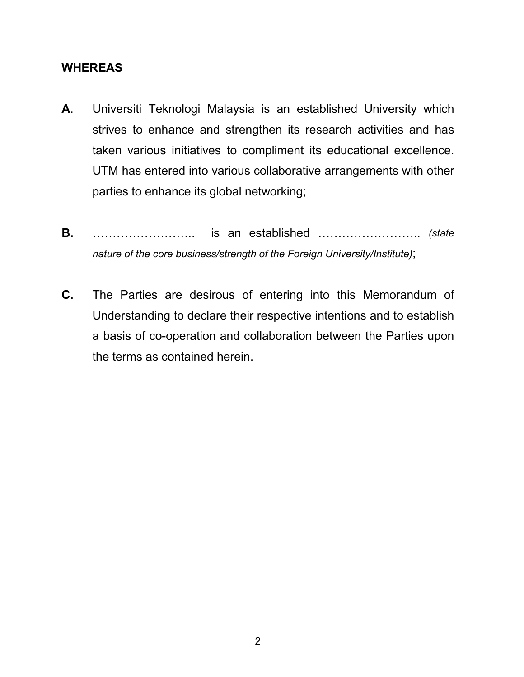#### **WHEREAS**

- **A**. Universiti Teknologi Malaysia is an established University which strives to enhance and strengthen its research activities and has taken various initiatives to compliment its educational excellence. UTM has entered into various collaborative arrangements with other parties to enhance its global networking;
- **B.** …………………….. is an established …………………….. *(state nature of the core business/strength of the Foreign University/Institute)*;
- **C.** The Parties are desirous of entering into this Memorandum of Understanding to declare their respective intentions and to establish a basis of co-operation and collaboration between the Parties upon the terms as contained herein.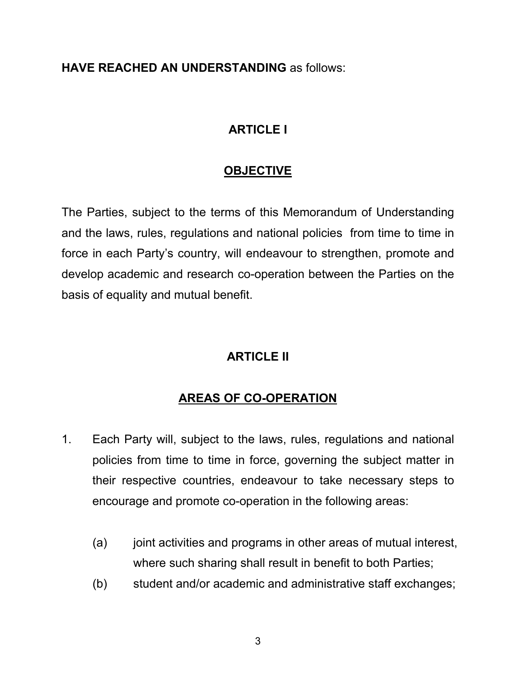**HAVE REACHED AN UNDERSTANDING** as follows:

## **ARTICLE I**

## **OBJECTIVE**

The Parties, subject to the terms of this Memorandum of Understanding and the laws, rules, regulations and national policies from time to time in force in each Party's country, will endeavour to strengthen, promote and develop academic and research co-operation between the Parties on the basis of equality and mutual benefit.

# **ARTICLE II**

# **AREAS OF CO-OPERATION**

- 1. Each Party will, subject to the laws, rules, regulations and national policies from time to time in force, governing the subject matter in their respective countries, endeavour to take necessary steps to encourage and promote co-operation in the following areas:
	- (a) joint activities and programs in other areas of mutual interest, where such sharing shall result in benefit to both Parties;
	- (b) student and/or academic and administrative staff exchanges;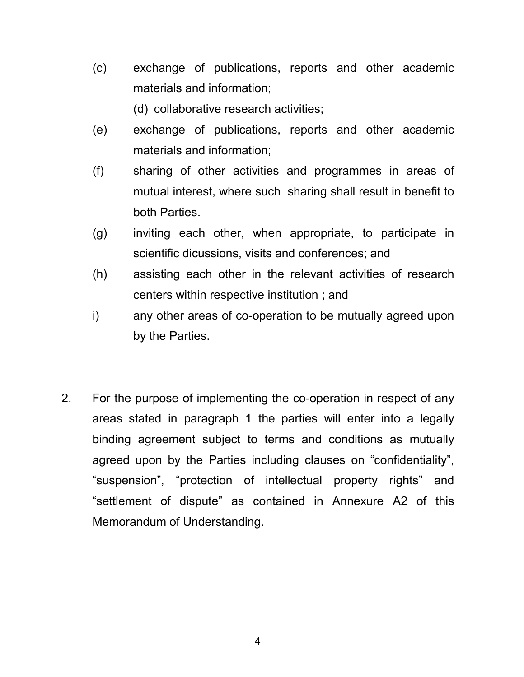(c) exchange of publications, reports and other academic materials and information;

(d) collaborative research activities;

- (e) exchange of publications, reports and other academic materials and information;
- (f) sharing of other activities and programmes in areas of mutual interest, where such sharing shall result in benefit to both Parties.
- (g) inviting each other, when appropriate, to participate in scientific dicussions, visits and conferences; and
- (h) assisting each other in the relevant activities of research centers within respective institution ; and
- i) any other areas of co-operation to be mutually agreed upon by the Parties.
- 2. For the purpose of implementing the co-operation in respect of any areas stated in paragraph 1 the parties will enter into a legally binding agreement subject to terms and conditions as mutually agreed upon by the Parties including clauses on "confidentiality", "suspension", "protection of intellectual property rights" and "settlement of dispute" as contained in Annexure A2 of this Memorandum of Understanding.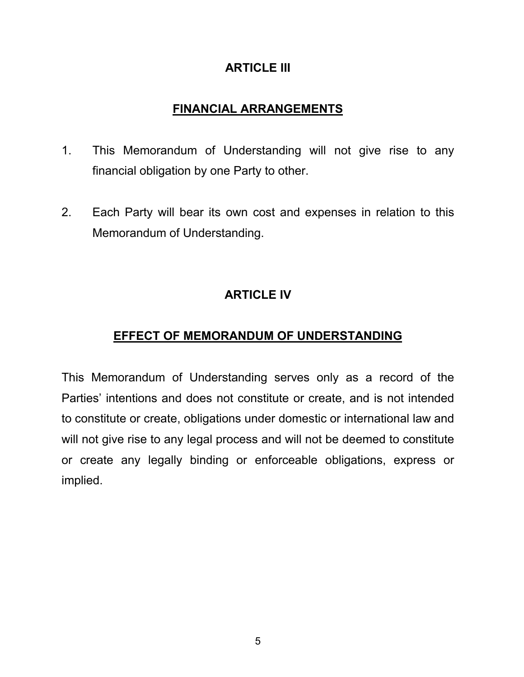### **ARTICLE III**

# **FINANCIAL ARRANGEMENTS**

- 1. This Memorandum of Understanding will not give rise to any financial obligation by one Party to other.
- 2. Each Party will bear its own cost and expenses in relation to this Memorandum of Understanding.

# **ARTICLE IV**

## **EFFECT OF MEMORANDUM OF UNDERSTANDING**

This Memorandum of Understanding serves only as a record of the Parties' intentions and does not constitute or create, and is not intended to constitute or create, obligations under domestic or international law and will not give rise to any legal process and will not be deemed to constitute or create any legally binding or enforceable obligations, express or implied.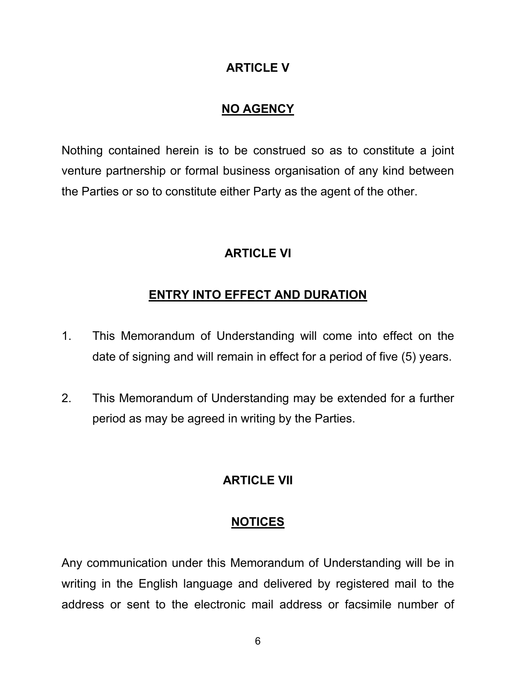### **ARTICLE V**

### **NO AGENCY**

Nothing contained herein is to be construed so as to constitute a joint venture partnership or formal business organisation of any kind between the Parties or so to constitute either Party as the agent of the other.

### **ARTICLE VI**

### **ENTRY INTO EFFECT AND DURATION**

- 1. This Memorandum of Understanding will come into effect on the date of signing and will remain in effect for a period of five (5) years.
- 2. This Memorandum of Understanding may be extended for a further period as may be agreed in writing by the Parties.

#### **ARTICLE VII**

#### **NOTICES**

Any communication under this Memorandum of Understanding will be in writing in the English language and delivered by registered mail to the address or sent to the electronic mail address or facsimile number of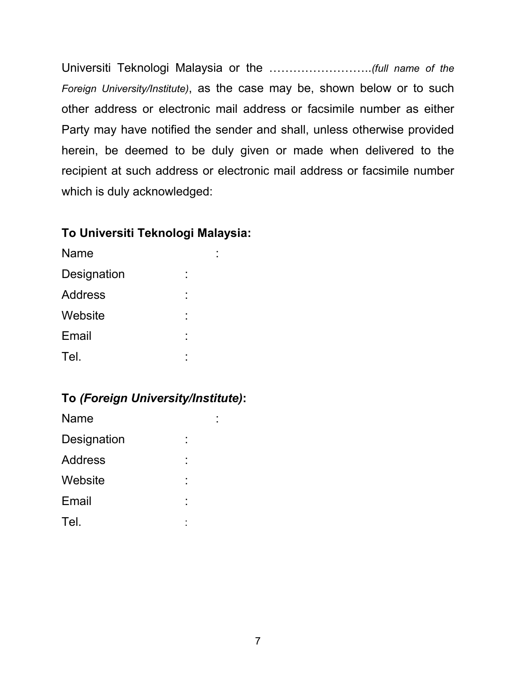Universiti Teknologi Malaysia or the ……………………..*(full name of the Foreign University/Institute)*, as the case may be, shown below or to such other address or electronic mail address or facsimile number as either Party may have notified the sender and shall, unless otherwise provided herein, be deemed to be duly given or made when delivered to the recipient at such address or electronic mail address or facsimile number which is duly acknowledged:

### **To Universiti Teknologi Malaysia:**

| <b>Name</b>    |        |  |
|----------------|--------|--|
| Designation    | ٠<br>٠ |  |
| <b>Address</b> | ٠<br>٠ |  |
| Website        | ٠<br>٠ |  |
| Email          | ٠<br>٠ |  |
| Tel.           | ٠<br>٠ |  |

## **To** *(Foreign University/Institute)***:**

| Name           |        |  |
|----------------|--------|--|
| Designation    |        |  |
| <b>Address</b> | ٠      |  |
| Website        | ٠<br>٠ |  |
| Email          | ٠      |  |
| Tel.           | ٠      |  |